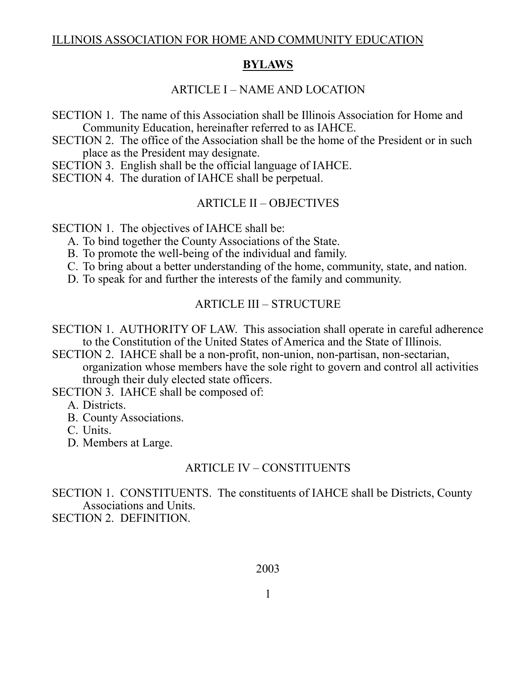#### ILLINOIS ASSOCIATION FOR HOME AND COMMUNITY EDUCATION

### **BYLAWS**

## ARTICLE I – NAME AND LOCATION

SECTION 1. The name of this Association shall be Illinois Association for Home and Community Education, hereinafter referred to as IAHCE.

SECTION 2. The office of the Association shall be the home of the President or in such place as the President may designate.

SECTION 3. English shall be the official language of IAHCE.

SECTION 4. The duration of IAHCE shall be perpetual.

### ARTICLE II – OBJECTIVES

SECTION 1. The objectives of IAHCE shall be:

A. To bind together the County Associations of the State.

B. To promote the well-being of the individual and family.

C. To bring about a better understanding of the home, community, state, and nation.

D. To speak for and further the interests of the family and community.

### ARTICLE III – STRUCTURE

- SECTION 1. AUTHORITY OF LAW. This association shall operate in careful adherence to the Constitution of the United States of America and the State of Illinois.
- SECTION 2. IAHCE shall be a non-profit, non-union, non-partisan, non-sectarian, organization whose members have the sole right to govern and control all activities through their duly elected state officers.

SECTION 3. IAHCE shall be composed of:

A. Districts.

B. County Associations.

C. Units.

D. Members at Large.

#### ARTICLE IV – CONSTITUENTS

SECTION 1. CONSTITUENTS. The constituents of IAHCE shall be Districts, County Associations and Units. SECTION 2. DEFINITION.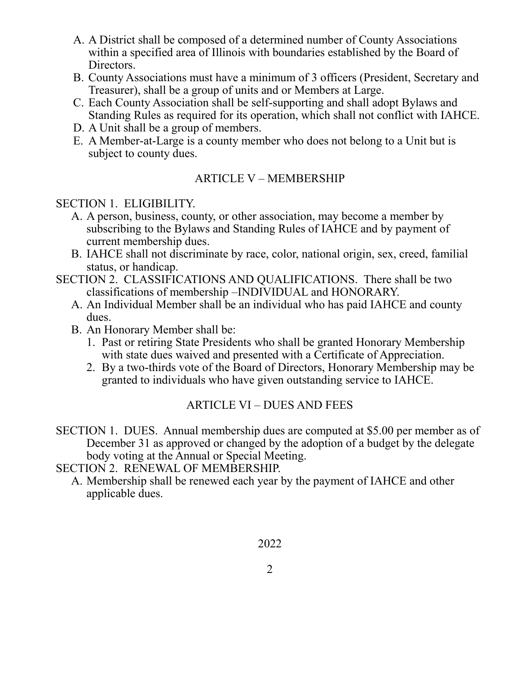- A. A District shall be composed of a determined number of County Associations within a specified area of Illinois with boundaries established by the Board of Directors.
- B. County Associations must have a minimum of 3 officers (President, Secretary and Treasurer), shall be a group of units and or Members at Large.
- C. Each County Association shall be self-supporting and shall adopt Bylaws and Standing Rules as required for its operation, which shall not conflict with IAHCE.
- D. A Unit shall be a group of members.
- E. A Member-at-Large is a county member who does not belong to a Unit but is subject to county dues.

## ARTICLE V – MEMBERSHIP

## SECTION 1. ELIGIBILITY.

- A. A person, business, county, or other association, may become a member by subscribing to the Bylaws and Standing Rules of IAHCE and by payment of current membership dues.
- B. IAHCE shall not discriminate by race, color, national origin, sex, creed, familial status, or handicap.
- SECTION 2. CLASSIFICATIONS AND QUALIFICATIONS. There shall be two classifications of membership –INDIVIDUAL and HONORARY.
	- A. An Individual Member shall be an individual who has paid IAHCE and county dues.
	- B. An Honorary Member shall be:
		- 1. Past or retiring State Presidents who shall be granted Honorary Membership with state dues waived and presented with a Certificate of Appreciation.
		- 2. By a two-thirds vote of the Board of Directors, Honorary Membership may be granted to individuals who have given outstanding service to IAHCE.

# ARTICLE VI – DUES AND FEES

SECTION 1. DUES. Annual membership dues are computed at \$5.00 per member as of December 31 as approved or changed by the adoption of a budget by the delegate body voting at the Annual or Special Meeting.

SECTION 2. RENEWAL OF MEMBERSHIP.

A. Membership shall be renewed each year by the payment of IAHCE and other applicable dues.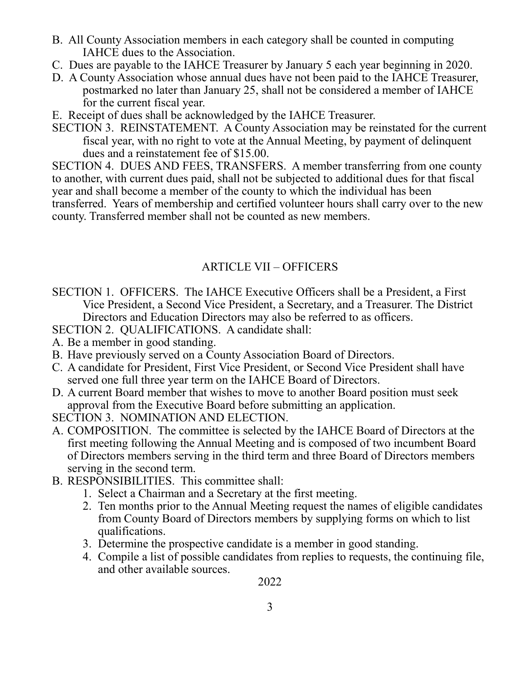- B. All County Association members in each category shall be counted in computing IAHCE dues to the Association.
- C. Dues are payable to the IAHCE Treasurer by January 5 each year beginning in 2020.
- D. A County Association whose annual dues have not been paid to the IAHCE Treasurer, postmarked no later than January 25, shall not be considered a member of IAHCE for the current fiscal year.
- E. Receipt of dues shall be acknowledged by the IAHCE Treasurer.
- SECTION 3. REINSTATEMENT. A County Association may be reinstated for the current fiscal year, with no right to vote at the Annual Meeting, by payment of delinquent dues and a reinstatement fee of \$15.00.

SECTION 4. DUES AND FEES, TRANSFERS. A member transferring from one county to another, with current dues paid, shall not be subjected to additional dues for that fiscal year and shall become a member of the county to which the individual has been transferred. Years of membership and certified volunteer hours shall carry over to the new county. Transferred member shall not be counted as new members.

# ARTICLE VII – OFFICERS

- SECTION 1. OFFICERS. The IAHCE Executive Officers shall be a President, a First Vice President, a Second Vice President, a Secretary, and a Treasurer. The District Directors and Education Directors may also be referred to as officers.
- SECTION 2. QUALIFICATIONS. A candidate shall:
- A. Be a member in good standing.
- B. Have previously served on a County Association Board of Directors.
- C. A candidate for President, First Vice President, or Second Vice President shall have served one full three year term on the IAHCE Board of Directors.
- D. A current Board member that wishes to move to another Board position must seek approval from the Executive Board before submitting an application.
- SECTION 3. NOMINATION AND ELECTION.
- A. COMPOSITION. The committee is selected by the IAHCE Board of Directors at the first meeting following the Annual Meeting and is composed of two incumbent Board of Directors members serving in the third term and three Board of Directors members serving in the second term.
- B. RESPONSIBILITIES. This committee shall:
	- 1. Select a Chairman and a Secretary at the first meeting.
	- 2. Ten months prior to the Annual Meeting request the names of eligible candidates from County Board of Directors members by supplying forms on which to list qualifications.
	- 3. Determine the prospective candidate is a member in good standing.
	- 4. Compile a list of possible candidates from replies to requests, the continuing file, and other available sources.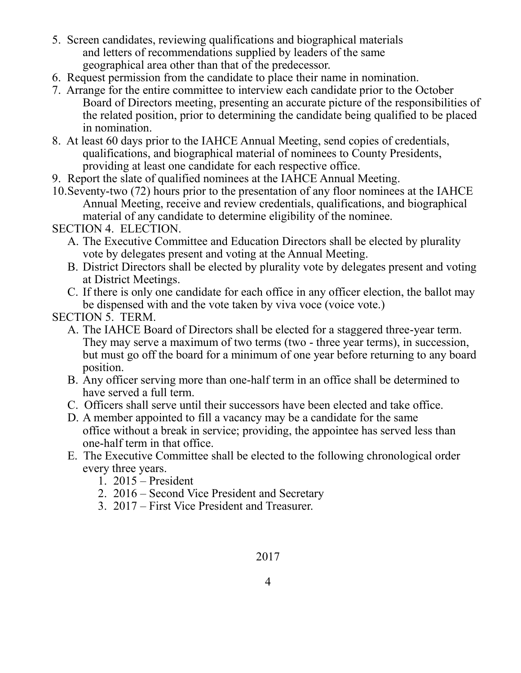- 5. Screen candidates, reviewing qualifications and biographical materials and letters of recommendations supplied by leaders of the same geographical area other than that of the predecessor.
- 6. Request permission from the candidate to place their name in nomination.
- 7. Arrange for the entire committee to interview each candidate prior to the October Board of Directors meeting, presenting an accurate picture of the responsibilities of the related position, prior to determining the candidate being qualified to be placed in nomination.
- 8. At least 60 days prior to the IAHCE Annual Meeting, send copies of credentials, qualifications, and biographical material of nominees to County Presidents, providing at least one candidate for each respective office.
- 9. Report the slate of qualified nominees at the IAHCE Annual Meeting.
- 10.Seventy-two (72) hours prior to the presentation of any floor nominees at the IAHCE Annual Meeting, receive and review credentials, qualifications, and biographical material of any candidate to determine eligibility of the nominee.

## SECTION 4. ELECTION.

- A. The Executive Committee and Education Directors shall be elected by plurality vote by delegates present and voting at the Annual Meeting.
- B. District Directors shall be elected by plurality vote by delegates present and voting at District Meetings.
- C. If there is only one candidate for each office in any officer election, the ballot may be dispensed with and the vote taken by viva voce (voice vote.)

## SECTION 5. TERM.

- A. The IAHCE Board of Directors shall be elected for a staggered three-year term. They may serve a maximum of two terms (two - three year terms), in succession, but must go off the board for a minimum of one year before returning to any board position.
- B. Any officer serving more than one-half term in an office shall be determined to have served a full term.
- C. Officers shall serve until their successors have been elected and take office.
- D. A member appointed to fill a vacancy may be a candidate for the same office without a break in service; providing, the appointee has served less than one-half term in that office.
- E. The Executive Committee shall be elected to the following chronological order every three years.
	- 1. 2015 President
	- 2. 2016 Second Vice President and Secretary
	- 3. 2017 First Vice President and Treasurer.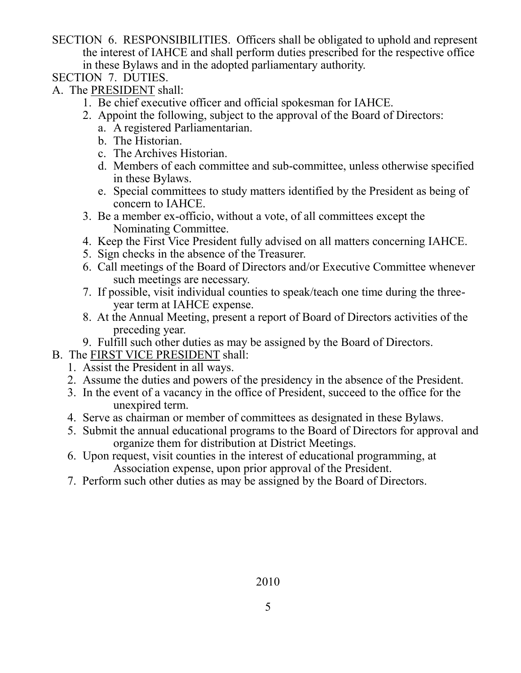- SECTION 6. RESPONSIBILITIES. Officers shall be obligated to uphold and represent the interest of IAHCE and shall perform duties prescribed for the respective office in these Bylaws and in the adopted parliamentary authority.
- SECTION 7. DUTIES.
- A. The PRESIDENT shall:
	- 1. Be chief executive officer and official spokesman for IAHCE.
	- 2. Appoint the following, subject to the approval of the Board of Directors:
		- a. A registered Parliamentarian.
		- b. The Historian.
		- c. The Archives Historian.
		- d. Members of each committee and sub-committee, unless otherwise specified in these Bylaws.
		- e. Special committees to study matters identified by the President as being of concern to IAHCE.
	- 3. Be a member ex-officio, without a vote, of all committees except the Nominating Committee.
	- 4. Keep the First Vice President fully advised on all matters concerning IAHCE.
	- 5. Sign checks in the absence of the Treasurer.
	- 6. Call meetings of the Board of Directors and/or Executive Committee whenever such meetings are necessary.
	- 7. If possible, visit individual counties to speak/teach one time during the threeyear term at IAHCE expense.
	- 8. At the Annual Meeting, present a report of Board of Directors activities of the preceding year.
	- 9. Fulfill such other duties as may be assigned by the Board of Directors.
- B. The FIRST VICE PRESIDENT shall:
	- 1. Assist the President in all ways.
	- 2. Assume the duties and powers of the presidency in the absence of the President.
	- 3. In the event of a vacancy in the office of President, succeed to the office for the unexpired term.
	- 4. Serve as chairman or member of committees as designated in these Bylaws.
	- 5. Submit the annual educational programs to the Board of Directors for approval and organize them for distribution at District Meetings.
	- 6. Upon request, visit counties in the interest of educational programming, at Association expense, upon prior approval of the President.
	- 7. Perform such other duties as may be assigned by the Board of Directors.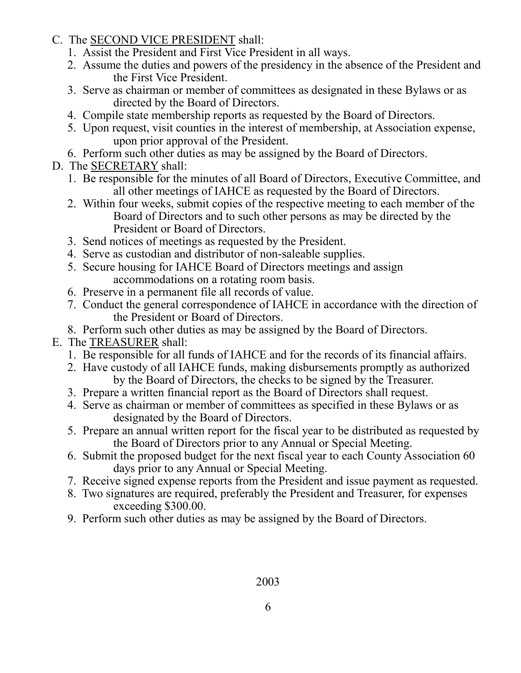- C. The SECOND VICE PRESIDENT shall:
	- 1. Assist the President and First Vice President in all ways.
	- 2. Assume the duties and powers of the presidency in the absence of the President and the First Vice President.
	- 3. Serve as chairman or member of committees as designated in these Bylaws or as directed by the Board of Directors.
	- 4. Compile state membership reports as requested by the Board of Directors.
	- 5. Upon request, visit counties in the interest of membership, at Association expense, upon prior approval of the President.
- 6. Perform such other duties as may be assigned by the Board of Directors.
- D. The SECRETARY shall:
	- 1. Be responsible for the minutes of all Board of Directors, Executive Committee, and all other meetings of IAHCE as requested by the Board of Directors.
	- 2. Within four weeks, submit copies of the respective meeting to each member of the Board of Directors and to such other persons as may be directed by the President or Board of Directors.
	- 3. Send notices of meetings as requested by the President.
	- 4. Serve as custodian and distributor of non-saleable supplies.
	- 5. Secure housing for IAHCE Board of Directors meetings and assign accommodations on a rotating room basis.
	- 6. Preserve in a permanent file all records of value.
	- 7. Conduct the general correspondence of IAHCE in accordance with the direction of the President or Board of Directors.
	- 8. Perform such other duties as may be assigned by the Board of Directors.
- E. The TREASURER shall:
	- 1. Be responsible for all funds of IAHCE and for the records of its financial affairs.
	- 2. Have custody of all IAHCE funds, making disbursements promptly as authorized by the Board of Directors, the checks to be signed by the Treasurer.
	- 3. Prepare a written financial report as the Board of Directors shall request.
	- 4. Serve as chairman or member of committees as specified in these Bylaws or as designated by the Board of Directors.
	- 5. Prepare an annual written report for the fiscal year to be distributed as requested by the Board of Directors prior to any Annual or Special Meeting.
	- 6. Submit the proposed budget for the next fiscal year to each County Association 60 days prior to any Annual or Special Meeting.
	- 7. Receive signed expense reports from the President and issue payment as requested.
	- 8. Two signatures are required, preferably the President and Treasurer, for expenses exceeding \$300.00.
	- 9. Perform such other duties as may be assigned by the Board of Directors.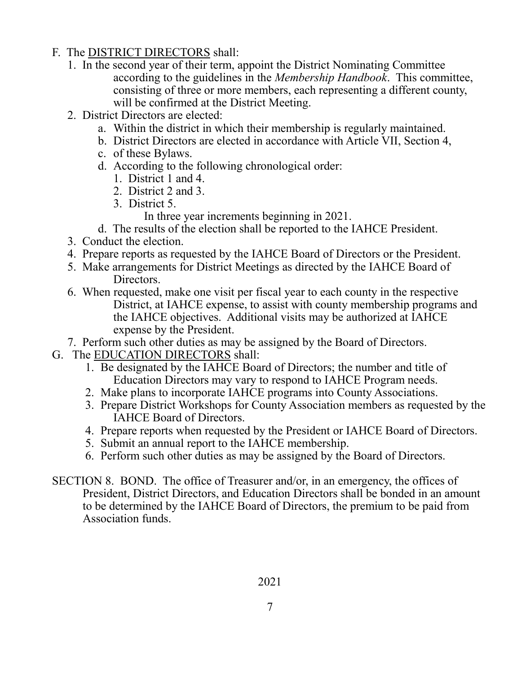- F. The DISTRICT DIRECTORS shall:
	- 1. In the second year of their term, appoint the District Nominating Committee according to the guidelines in the *Membership Handbook*. This committee, consisting of three or more members, each representing a different county, will be confirmed at the District Meeting.
	- 2. District Directors are elected:
		- a. Within the district in which their membership is regularly maintained.
		- b. District Directors are elected in accordance with Article VII, Section 4,
		- c. of these Bylaws.
		- d. According to the following chronological order:
			- 1. District 1 and 4.
			- 2. District 2 and 3.
			- 3. District 5.

In three year increments beginning in 2021.

- d. The results of the election shall be reported to the IAHCE President.
- 3. Conduct the election.
- 4. Prepare reports as requested by the IAHCE Board of Directors or the President.
- 5. Make arrangements for District Meetings as directed by the IAHCE Board of Directors.
- 6. When requested, make one visit per fiscal year to each county in the respective District, at IAHCE expense, to assist with county membership programs and the IAHCE objectives. Additional visits may be authorized at IAHCE expense by the President.
- 7. Perform such other duties as may be assigned by the Board of Directors.
- G. The EDUCATION DIRECTORS shall:
	- 1. Be designated by the IAHCE Board of Directors; the number and title of Education Directors may vary to respond to IAHCE Program needs.
	- 2. Make plans to incorporate IAHCE programs into County Associations.
	- 3. Prepare District Workshops for County Association members as requested by the IAHCE Board of Directors.
	- 4. Prepare reports when requested by the President or IAHCE Board of Directors.
	- 5. Submit an annual report to the IAHCE membership.
	- 6. Perform such other duties as may be assigned by the Board of Directors.
- SECTION 8. BOND. The office of Treasurer and/or, in an emergency, the offices of President, District Directors, and Education Directors shall be bonded in an amount to be determined by the IAHCE Board of Directors, the premium to be paid from Association funds.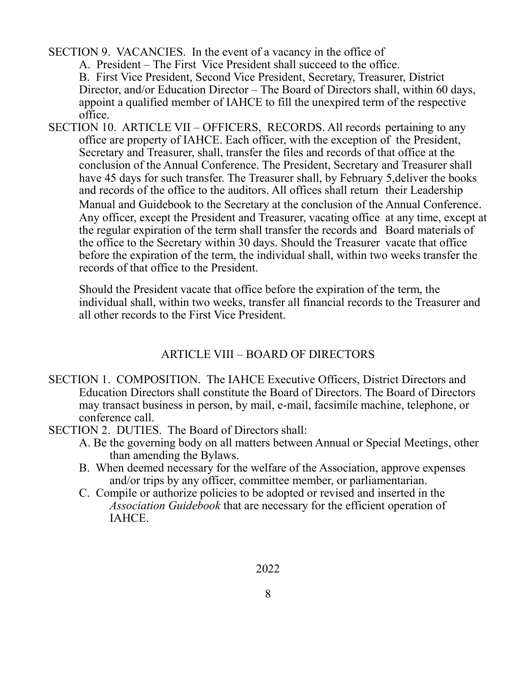SECTION 9. VACANCIES. In the event of a vacancy in the office of

A. President – The First Vice President shall succeed to the office.

B. First Vice President, Second Vice President, Secretary, Treasurer, District Director, and/or Education Director – The Board of Directors shall, within 60 days, appoint a qualified member of IAHCE to fill the unexpired term of the respective office.

SECTION 10. ARTICLE VII – OFFICERS, RECORDS. All records pertaining to any office are property of IAHCE. Each officer, with the exception of the President, Secretary and Treasurer, shall, transfer the files and records of that office at the conclusion of the Annual Conference. The President, Secretary and Treasurer shall have 45 days for such transfer. The Treasurer shall, by February 5,deliver the books and records of the office to the auditors. All offices shall return their Leadership Manual and Guidebook to the Secretary at the conclusion of the Annual Conference. Any officer, except the President and Treasurer, vacating office at any time, except at the regular expiration of the term shall transfer the records and Board materials of the office to the Secretary within 30 days. Should the Treasurer vacate that office before the expiration of the term, the individual shall, within two weeks transfer the records of that office to the President.

Should the President vacate that office before the expiration of the term, the individual shall, within two weeks, transfer all financial records to the Treasurer and all other records to the First Vice President.

# ARTICLE VIII – BOARD OF DIRECTORS

- SECTION 1. COMPOSITION. The IAHCE Executive Officers, District Directors and Education Directors shall constitute the Board of Directors. The Board of Directors may transact business in person, by mail, e-mail, facsimile machine, telephone, or conference call.
- SECTION 2. DUTIES. The Board of Directors shall:
	- A. Be the governing body on all matters between Annual or Special Meetings, other than amending the Bylaws.
	- B. When deemed necessary for the welfare of the Association, approve expenses and/or trips by any officer, committee member, or parliamentarian.
	- C. Compile or authorize policies to be adopted or revised and inserted in the *Association Guidebook* that are necessary for the efficient operation of IAHCE.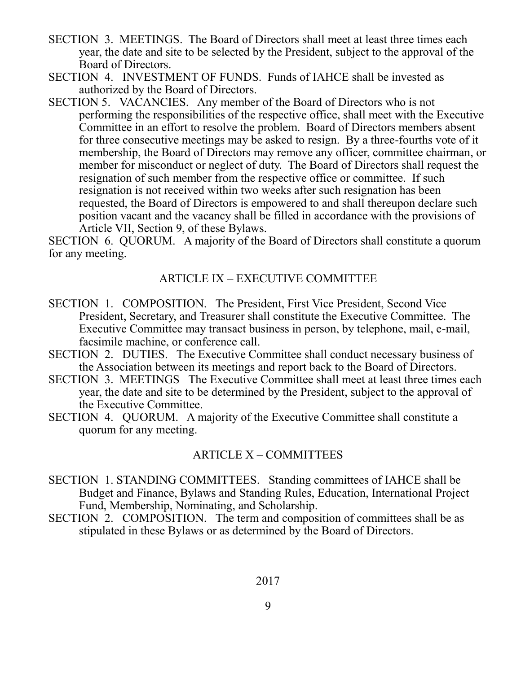- SECTION 3. MEETINGS. The Board of Directors shall meet at least three times each year, the date and site to be selected by the President, subject to the approval of the Board of Directors.
- SECTION 4. INVESTMENT OF FUNDS. Funds of IAHCE shall be invested as authorized by the Board of Directors.
- SECTION 5. VACANCIES. Any member of the Board of Directors who is not performing the responsibilities of the respective office, shall meet with the Executive Committee in an effort to resolve the problem. Board of Directors members absent for three consecutive meetings may be asked to resign. By a three-fourths vote of it membership, the Board of Directors may remove any officer, committee chairman, or member for misconduct or neglect of duty. The Board of Directors shall request the resignation of such member from the respective office or committee. If such resignation is not received within two weeks after such resignation has been requested, the Board of Directors is empowered to and shall thereupon declare such position vacant and the vacancy shall be filled in accordance with the provisions of Article VII, Section 9, of these Bylaws.

SECTION 6. QUORUM. A majority of the Board of Directors shall constitute a quorum for any meeting.

### ARTICLE IX – EXECUTIVE COMMITTEE

- SECTION 1. COMPOSITION. The President, First Vice President, Second Vice President, Secretary, and Treasurer shall constitute the Executive Committee. The Executive Committee may transact business in person, by telephone, mail, e-mail, facsimile machine, or conference call.
- SECTION 2. DUTIES. The Executive Committee shall conduct necessary business of the Association between its meetings and report back to the Board of Directors.
- SECTION 3. MEETINGS The Executive Committee shall meet at least three times each year, the date and site to be determined by the President, subject to the approval of the Executive Committee.
- SECTION 4. QUORUM. A majority of the Executive Committee shall constitute a quorum for any meeting.

## ARTICLE X – COMMITTEES

- SECTION 1. STANDING COMMITTEES. Standing committees of IAHCE shall be Budget and Finance, Bylaws and Standing Rules, Education, International Project Fund, Membership, Nominating, and Scholarship.
- SECTION 2. COMPOSITION. The term and composition of committees shall be as stipulated in these Bylaws or as determined by the Board of Directors.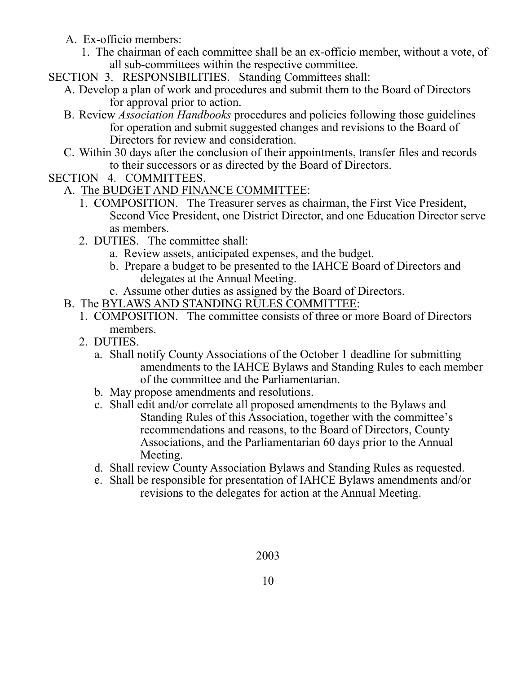- A. Ex-officio members:
	- 1. The chairman of each committee shall be an ex-officio member, without a vote, of all sub-committees within the respective committee.
- SECTION 3. RESPONSIBILITIES. Standing Committees shall:
	- A. Develop a plan of work and procedures and submit them to the Board of Directors for approval prior to action.
	- B. Review *Association Handbooks* procedures and policies following those guidelines for operation and submit suggested changes and revisions to the Board of Directors for review and consideration.
	- C. Within 30 days after the conclusion of their appointments, transfer files and records to their successors or as directed by the Board of Directors.
- SECTION 4. COMMITTEES.
	- A. The BUDGET AND FINANCE COMMITTEE:
		- 1. COMPOSITION. The Treasurer serves as chairman, the First Vice President, Second Vice President, one District Director, and one Education Director serve as members.
		- 2. DUTIES. The committee shall:
			- a. Review assets, anticipated expenses, and the budget.
			- b. Prepare a budget to be presented to the IAHCE Board of Directors and delegates at the Annual Meeting.
			- c. Assume other duties as assigned by the Board of Directors.
	- B. The BYLAWS AND STANDING RULES COMMITTEE:
		- 1. COMPOSITION. The committee consists of three or more Board of Directors members.
		- 2. DUTIES.
			- a. Shall notify County Associations of the October 1 deadline for submitting amendments to the IAHCE Bylaws and Standing Rules to each member of the committee and the Parliamentarian.
			- b. May propose amendments and resolutions.
			- c. Shall edit and/or correlate all proposed amendments to the Bylaws and Standing Rules of this Association, together with the committee's recommendations and reasons, to the Board of Directors, County Associations, and the Parliamentarian 60 days prior to the Annual Meeting.
			- d. Shall review County Association Bylaws and Standing Rules as requested.
			- e. Shall be responsible for presentation of IAHCE Bylaws amendments and/or revisions to the delegates for action at the Annual Meeting.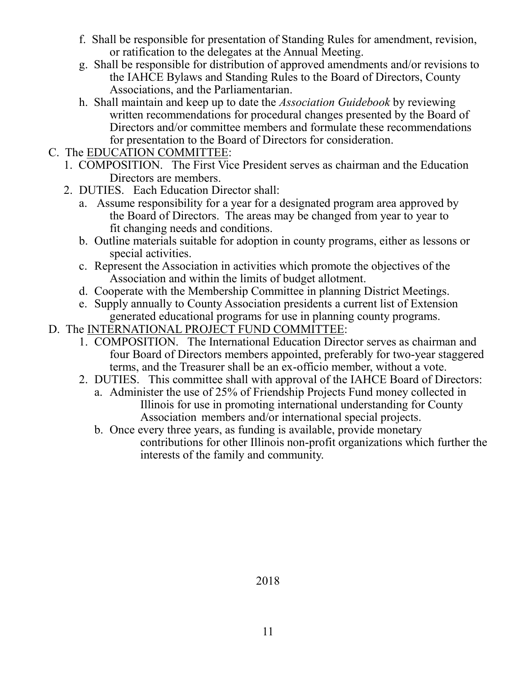- f. Shall be responsible for presentation of Standing Rules for amendment, revision, or ratification to the delegates at the Annual Meeting.
- g. Shall be responsible for distribution of approved amendments and/or revisions to the IAHCE Bylaws and Standing Rules to the Board of Directors, County Associations, and the Parliamentarian.
- h. Shall maintain and keep up to date the *Association Guidebook* by reviewing written recommendations for procedural changes presented by the Board of Directors and/or committee members and formulate these recommendations for presentation to the Board of Directors for consideration.
- C. The EDUCATION COMMITTEE:
	- 1. COMPOSITION. The First Vice President serves as chairman and the Education Directors are members.
	- 2. DUTIES. Each Education Director shall:
		- a. Assume responsibility for a year for a designated program area approved by the Board of Directors. The areas may be changed from year to year to fit changing needs and conditions.
		- b. Outline materials suitable for adoption in county programs, either as lessons or special activities.
		- c. Represent the Association in activities which promote the objectives of the Association and within the limits of budget allotment.
		- d. Cooperate with the Membership Committee in planning District Meetings.
		- e. Supply annually to County Association presidents a current list of Extension generated educational programs for use in planning county programs.
- D. The INTERNATIONAL PROJECT FUND COMMITTEE:
	- 1. COMPOSITION. The International Education Director serves as chairman and four Board of Directors members appointed, preferably for two-year staggered terms, and the Treasurer shall be an ex-officio member, without a vote.
	- 2. DUTIES. This committee shall with approval of the IAHCE Board of Directors:
		- a. Administer the use of 25% of Friendship Projects Fund money collected in Illinois for use in promoting international understanding for County Association members and/or international special projects.
		- b. Once every three years, as funding is available, provide monetary contributions for other Illinois non-profit organizations which further the interests of the family and community.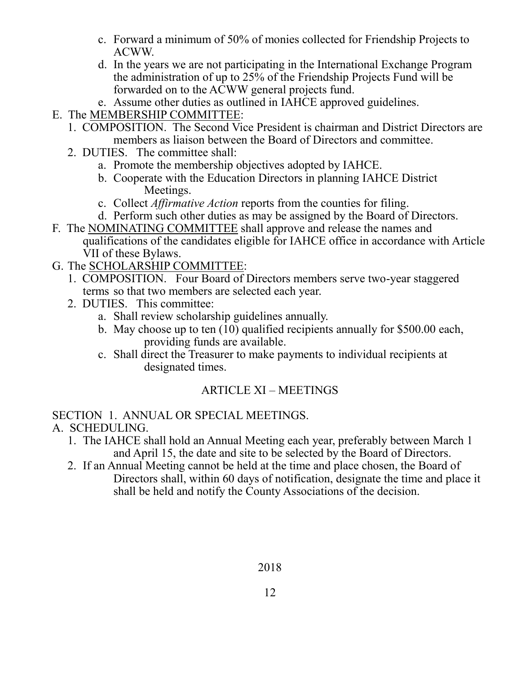- c. Forward a minimum of 50% of monies collected for Friendship Projects to ACWW.
- d. In the years we are not participating in the International Exchange Program the administration of up to 25% of the Friendship Projects Fund will be forwarded on to the ACWW general projects fund.
- e. Assume other duties as outlined in IAHCE approved guidelines.
- E. The MEMBERSHIP COMMITTEE:
	- 1. COMPOSITION. The Second Vice President is chairman and District Directors are members as liaison between the Board of Directors and committee.
	- 2. DUTIES. The committee shall:
		- a. Promote the membership objectives adopted by IAHCE.
		- b. Cooperate with the Education Directors in planning IAHCE District Meetings.
		- c. Collect *Affirmative Action* reports from the counties for filing.
		- d. Perform such other duties as may be assigned by the Board of Directors.
- F. The NOMINATING COMMITTEE shall approve and release the names and qualifications of the candidates eligible for IAHCE office in accordance with Article VII of these Bylaws.
- G. The SCHOLARSHIP COMMITTEE:
	- 1. COMPOSITION. Four Board of Directors members serve two-year staggered terms so that two members are selected each year.
	- 2. DUTIES. This committee:
		- a. Shall review scholarship guidelines annually.
		- b. May choose up to ten (10) qualified recipients annually for \$500.00 each, providing funds are available.
		- c. Shall direct the Treasurer to make payments to individual recipients at designated times.

## ARTICLE XI – MEETINGS

## SECTION 1. ANNUAL OR SPECIAL MEETINGS.

- A. SCHEDULING.
	- 1. The IAHCE shall hold an Annual Meeting each year, preferably between March 1 and April 15, the date and site to be selected by the Board of Directors.
	- 2. If an Annual Meeting cannot be held at the time and place chosen, the Board of Directors shall, within 60 days of notification, designate the time and place it shall be held and notify the County Associations of the decision.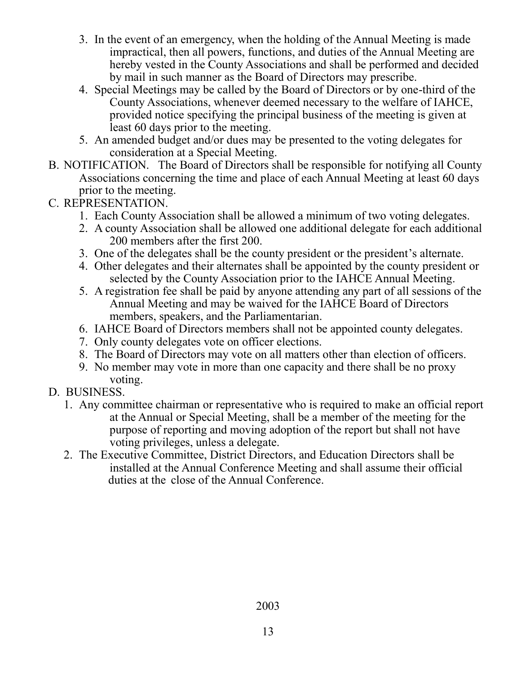- 3. In the event of an emergency, when the holding of the Annual Meeting is made impractical, then all powers, functions, and duties of the Annual Meeting are hereby vested in the County Associations and shall be performed and decided by mail in such manner as the Board of Directors may prescribe.
- 4. Special Meetings may be called by the Board of Directors or by one-third of the County Associations, whenever deemed necessary to the welfare of IAHCE, provided notice specifying the principal business of the meeting is given at least 60 days prior to the meeting.
- 5. An amended budget and/or dues may be presented to the voting delegates for consideration at a Special Meeting.
- B. NOTIFICATION. The Board of Directors shall be responsible for notifying all County Associations concerning the time and place of each Annual Meeting at least 60 days prior to the meeting.
- C. REPRESENTATION.
	- 1. Each County Association shall be allowed a minimum of two voting delegates.
	- 2. A county Association shall be allowed one additional delegate for each additional 200 members after the first 200.
	- 3. One of the delegates shall be the county president or the president's alternate.
	- 4. Other delegates and their alternates shall be appointed by the county president or selected by the County Association prior to the IAHCE Annual Meeting.
	- 5. A registration fee shall be paid by anyone attending any part of all sessions of the Annual Meeting and may be waived for the IAHCE Board of Directors members, speakers, and the Parliamentarian.
	- 6. IAHCE Board of Directors members shall not be appointed county delegates.
	- 7. Only county delegates vote on officer elections.
	- 8. The Board of Directors may vote on all matters other than election of officers.
	- 9. No member may vote in more than one capacity and there shall be no proxy voting.
- D. BUSINESS.
	- 1. Any committee chairman or representative who is required to make an official report at the Annual or Special Meeting, shall be a member of the meeting for the purpose of reporting and moving adoption of the report but shall not have voting privileges, unless a delegate.
	- 2. The Executive Committee, District Directors, and Education Directors shall be installed at the Annual Conference Meeting and shall assume their official duties at the close of the Annual Conference.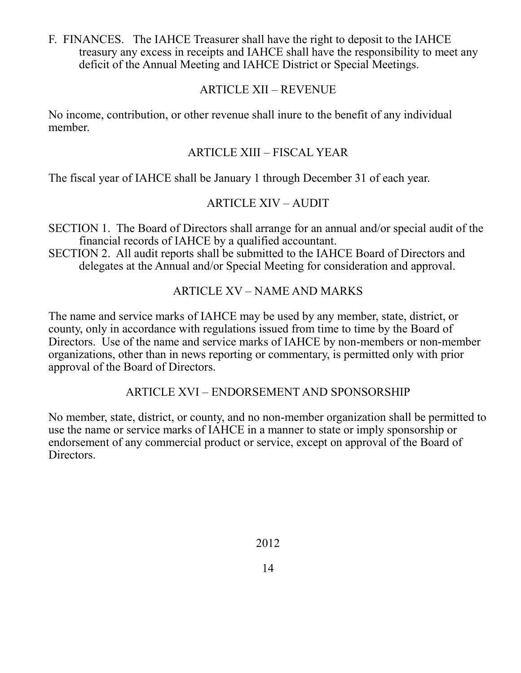F. FINANCES. The IAHCE Treasurer shall have the right to deposit to the IAHCE treasury any excess in receipts and IAHCE shall have the responsibility to meet any deficit of the Annual Meeting and IAHCE District or Special Meetings.

### ARTICLE XII – REVENUE

No income, contribution, or other revenue shall inure to the benefit of any individual member.

## ARTICLE XIII – FISCAL YEAR

The fiscal year of IAHCE shall be January 1 through December 31 of each year.

## ARTICLE XIV – AUDIT

SECTION 1. The Board of Directors shall arrange for an annual and/or special audit of the financial records of IAHCE by a qualified accountant.

SECTION 2. All audit reports shall be submitted to the IAHCE Board of Directors and delegates at the Annual and/or Special Meeting for consideration and approval.

## ARTICLE XV – NAME AND MARKS

The name and service marks of IAHCE may be used by any member, state, district, or county, only in accordance with regulations issued from time to time by the Board of Directors. Use of the name and service marks of IAHCE by non-members or non-member organizations, other than in news reporting or commentary, is permitted only with prior approval of the Board of Directors.

#### ARTICLE XVI – ENDORSEMENT AND SPONSORSHIP

No member, state, district, or county, and no non-member organization shall be permitted to use the name or service marks of IAHCE in a manner to state or imply sponsorship or endorsement of any commercial product or service, except on approval of the Board of Directors.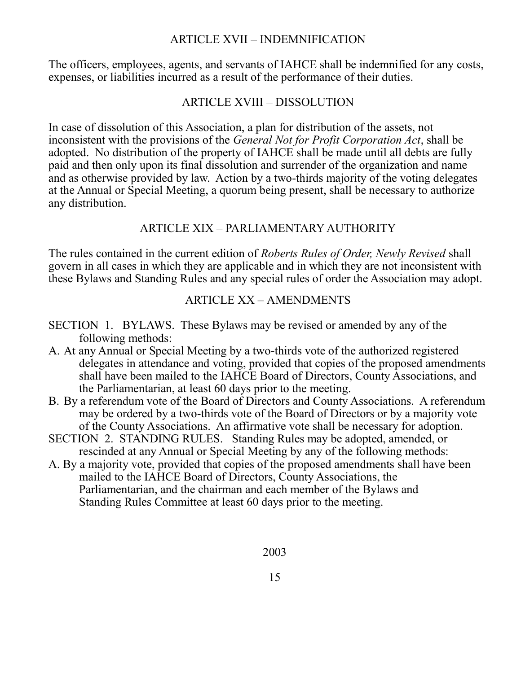#### ARTICLE XVII – INDEMNIFICATION

The officers, employees, agents, and servants of IAHCE shall be indemnified for any costs, expenses, or liabilities incurred as a result of the performance of their duties.

## ARTICLE XVIII – DISSOLUTION

In case of dissolution of this Association, a plan for distribution of the assets, not inconsistent with the provisions of the *General Not for Profit Corporation Act*, shall be adopted. No distribution of the property of IAHCE shall be made until all debts are fully paid and then only upon its final dissolution and surrender of the organization and name and as otherwise provided by law. Action by a two-thirds majority of the voting delegates at the Annual or Special Meeting, a quorum being present, shall be necessary to authorize any distribution.

## ARTICLE XIX – PARLIAMENTARY AUTHORITY

The rules contained in the current edition of *Roberts Rules of Order, Newly Revised* shall govern in all cases in which they are applicable and in which they are not inconsistent with these Bylaws and Standing Rules and any special rules of order the Association may adopt.

## ARTICLE XX – AMENDMENTS

- SECTION 1. BYLAWS. These Bylaws may be revised or amended by any of the following methods:
- A. At any Annual or Special Meeting by a two-thirds vote of the authorized registered delegates in attendance and voting, provided that copies of the proposed amendments shall have been mailed to the IAHCE Board of Directors, County Associations, and the Parliamentarian, at least 60 days prior to the meeting.
- B. By a referendum vote of the Board of Directors and County Associations. A referendum may be ordered by a two-thirds vote of the Board of Directors or by a majority vote of the County Associations. An affirmative vote shall be necessary for adoption.
- SECTION 2. STANDING RULES. Standing Rules may be adopted, amended, or rescinded at any Annual or Special Meeting by any of the following methods:
- A. By a majority vote, provided that copies of the proposed amendments shall have been mailed to the IAHCE Board of Directors, County Associations, the Parliamentarian, and the chairman and each member of the Bylaws and Standing Rules Committee at least 60 days prior to the meeting.